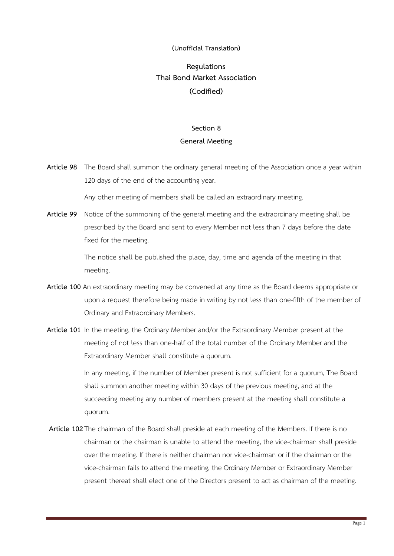## **(Unofficial Translation)**

## **Regulations Thai Bond Market Association (Codified)**

## **Section 8 General Meeting**

**Article 98** The Board shall summon the ordinary general meeting of the Association once a year within 120 days of the end of the accounting year.

Any other meeting of members shall be called an extraordinary meeting.

**Article 99** Notice of the summoning of the general meeting and the extraordinary meeting shall be prescribed by the Board and sent to every Member not less than 7 days before the date fixed for the meeting.

> The notice shall be published the place, day, time and agenda of the meeting in that meeting.

- **Article 100** An extraordinary meeting may be convened at any time as the Board deems appropriate or upon a request therefore being made in writing by not less than one-fifth of the member of Ordinary and Extraordinary Members.
- **Article 101** In the meeting, the Ordinary Member and/or the Extraordinary Member present at the meeting of not less than one-half of the total number of the Ordinary Member and the Extraordinary Member shall constitute a quorum.

In any meeting, if the number of Member present is not sufficient for a quorum, The Board shall summon another meeting within 30 days of the previous meeting, and at the succeeding meeting any number of members present at the meeting shall constitute a quorum.

**Article 102**The chairman of the Board shall preside at each meeting of the Members. If there is no chairman or the chairman is unable to attend the meeting, the vice-chairman shall preside over the meeting. If there is neither chairman nor vice-chairman or if the chairman or the vice-chairman fails to attend the meeting, the Ordinary Member or Extraordinary Member present thereat shall elect one of the Directors present to act as chairman of the meeting.